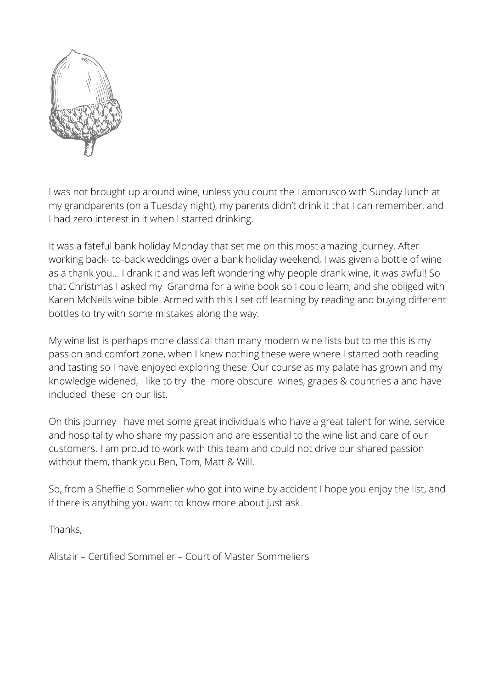

I was not brought up around wine, unless you count the Lambrusco with Sunday lunch at my grandparents (on a Tuesday night), my parents didn't drink it that I can remember, and I had zero interest in it when I started drinking.

It was a fateful bank holiday Monday that set me on this most amazing journey. After working back- to-back weddings over a bank holiday weekend, I was given a bottle of wine as a thank you… I drank it and was left wondering why people drank wine, it was awful! So that Christmas I asked my Grandma for a wine book so I could learn, and she obliged with Karen McNeils wine bible. Armed with this I set off learning by reading and buying different bottles to try with some mistakes along the way.

My wine list is perhaps more classical than many modern wine lists but to me this is my passion and comfort zone, when I knew nothing these were where I started both reading and tasting so I have enjoyed exploring these. Our course as my palate has grown and my knowledge widened, I like to try the more obscure wines, grapes & countries a and have included these on our list.

On this journey I have met some great individuals who have a great talent for wine, service and hospitality who share my passion and are essential to the wine list and care of our customers. I am proud to work with this team and could not drive our shared passion without them, thank you Ben, Tom, Matt & Will.

So, from a Sheffield Sommelier who got into wine by accident I hope you enjoy the list, and if there is anything you want to know more about just ask.

Thanks,

Alistair – Certified Sommelier – Court of Master Sommeliers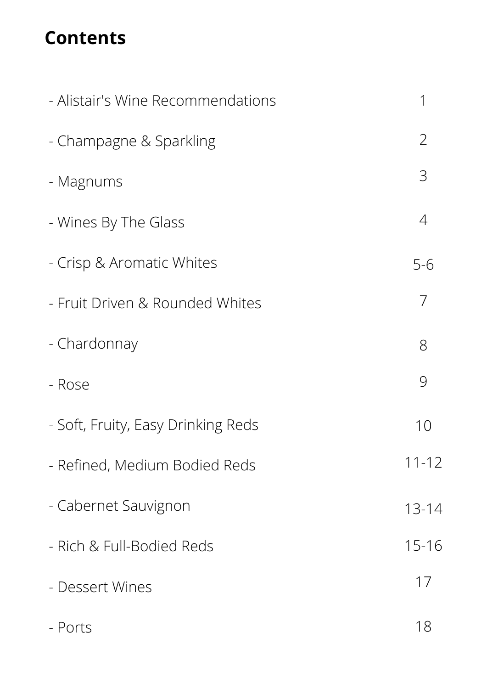### **Contents**

| - Alistair's Wine Recommendations  | 1              |
|------------------------------------|----------------|
| - Champagne & Sparkling            | $\overline{2}$ |
| - Magnums                          | 3              |
| - Wines By The Glass               | 4              |
| - Crisp & Aromatic Whites          | $5 - 6$        |
| - Fruit Driven & Rounded Whites    | 7              |
| - Chardonnay                       | 8              |
| - Rose                             | 9              |
| - Soft, Fruity, Easy Drinking Reds | 10             |
| - Refined, Medium Bodied Reds      | $11 - 12$      |
| - Cabernet Sauvignon               | $13 - 14$      |
| - Rich & Full-Bodied Reds          | $15 - 16$      |
| - Dessert Wines                    | 17             |
| - Ports                            | 18             |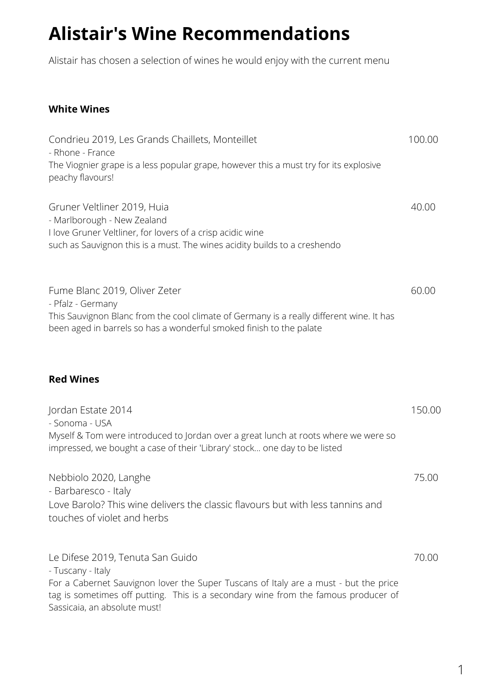### **Alistair's Wine Recommendations**

Alistair has chosen a selection of wines he would enjoy with the current menu

#### **White Wines**

| Condrieu 2019, Les Grands Chaillets, Monteillet<br>- Rhone - France                                                                                                                                                                                                 | 100.00 |
|---------------------------------------------------------------------------------------------------------------------------------------------------------------------------------------------------------------------------------------------------------------------|--------|
| The Viognier grape is a less popular grape, however this a must try for its explosive<br>peachy flavours!                                                                                                                                                           |        |
| Gruner Veltliner 2019, Huia<br>- Marlborough - New Zealand<br>I love Gruner Veltliner, for lovers of a crisp acidic wine<br>such as Sauvignon this is a must. The wines acidity builds to a creshendo                                                               | 40.00  |
| Fume Blanc 2019, Oliver Zeter<br>- Pfalz - Germany<br>This Sauvignon Blanc from the cool climate of Germany is a really different wine. It has<br>been aged in barrels so has a wonderful smoked finish to the palate                                               | 60.00  |
| <b>Red Wines</b>                                                                                                                                                                                                                                                    |        |
| Jordan Estate 2014<br>- Sonoma - USA<br>Myself & Tom were introduced to Jordan over a great lunch at roots where we were so<br>impressed, we bought a case of their 'Library' stock one day to be listed                                                            | 150.00 |
| Nebbiolo 2020, Langhe<br>- Barbaresco - Italy<br>Love Barolo? This wine delivers the classic flavours but with less tannins and<br>touches of violet and herbs                                                                                                      | 75.00  |
| Le Difese 2019, Tenuta San Guido<br>- Tuscany - Italy<br>For a Cabernet Sauvignon lover the Super Tuscans of Italy are a must - but the price<br>tag is sometimes off putting. This is a secondary wine from the famous producer of<br>Sassicaia, an absolute must! | 70.00  |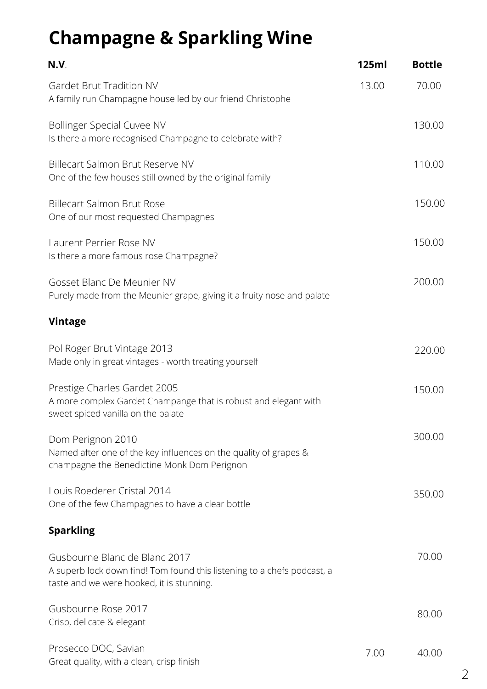# **Champagne & Sparkling Wine**

| N.V.                                                                                                                                                  | 125ml | <b>Bottle</b> |
|-------------------------------------------------------------------------------------------------------------------------------------------------------|-------|---------------|
| Gardet Brut Tradition NV<br>A family run Champagne house led by our friend Christophe                                                                 | 13.00 | 70.00         |
| <b>Bollinger Special Cuvee NV</b><br>Is there a more recognised Champagne to celebrate with?                                                          |       | 130.00        |
| Billecart Salmon Brut Reserve NV<br>One of the few houses still owned by the original family                                                          |       | 110.00        |
| <b>Billecart Salmon Brut Rose</b><br>One of our most requested Champagnes                                                                             |       | 150.00        |
| Laurent Perrier Rose NV<br>Is there a more famous rose Champagne?                                                                                     |       | 150.00        |
| Gosset Blanc De Meunier NV<br>Purely made from the Meunier grape, giving it a fruity nose and palate                                                  |       | 200.00        |
| <b>Vintage</b>                                                                                                                                        |       |               |
| Pol Roger Brut Vintage 2013<br>Made only in great vintages - worth treating yourself                                                                  |       | 220.00        |
| Prestige Charles Gardet 2005<br>A more complex Gardet Champange that is robust and elegant with<br>sweet spiced vanilla on the palate                 |       | 150.00        |
| Dom Perignon 2010<br>Named after one of the key influences on the quality of grapes &<br>champagne the Benedictine Monk Dom Perignon                  |       | 300.00        |
| Louis Roederer Cristal 2014<br>One of the few Champagnes to have a clear bottle                                                                       |       | 350.00        |
| <b>Sparkling</b>                                                                                                                                      |       |               |
| Gusbourne Blanc de Blanc 2017<br>A superb lock down find! Tom found this listening to a chefs podcast, a<br>taste and we were hooked, it is stunning. |       | 70.00         |
| Gusbourne Rose 2017<br>Crisp, delicate & elegant                                                                                                      |       | 80.00         |
| Prosecco DOC, Savian<br>Great quality, with a clean, crisp finish                                                                                     | 7.00  | 40.00         |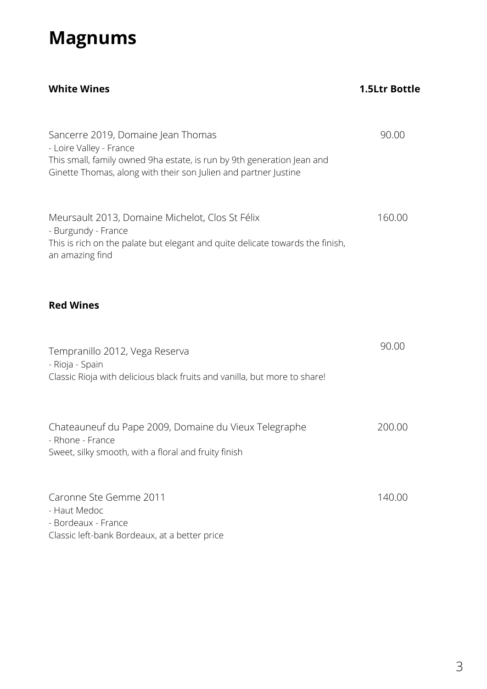### **Magnums**

| <b>White Wines</b>                                                                                                                                                                                         | <b>1.5Ltr Bottle</b> |
|------------------------------------------------------------------------------------------------------------------------------------------------------------------------------------------------------------|----------------------|
| Sancerre 2019, Domaine Jean Thomas<br>- Loire Valley - France<br>This small, family owned 9ha estate, is run by 9th generation Jean and<br>Ginette Thomas, along with their son Julien and partner Justine | 90.00                |
| Meursault 2013, Domaine Michelot, Clos St Félix<br>- Burgundy - France<br>This is rich on the palate but elegant and quite delicate towards the finish,<br>an amazing find                                 | 160.00               |
| <b>Red Wines</b>                                                                                                                                                                                           |                      |
| Tempranillo 2012, Vega Reserva<br>- Rioja - Spain<br>Classic Rioja with delicious black fruits and vanilla, but more to share!                                                                             | 90.00                |
| Chateauneuf du Pape 2009, Domaine du Vieux Telegraphe<br>- Rhone - France<br>Sweet, silky smooth, with a floral and fruity finish                                                                          | 200.00               |
| Caronne Ste Gemme 2011<br>- Haut Medoc<br>- Bordeaux - France<br>Classic left-bank Bordeaux, at a better price                                                                                             | 140.00               |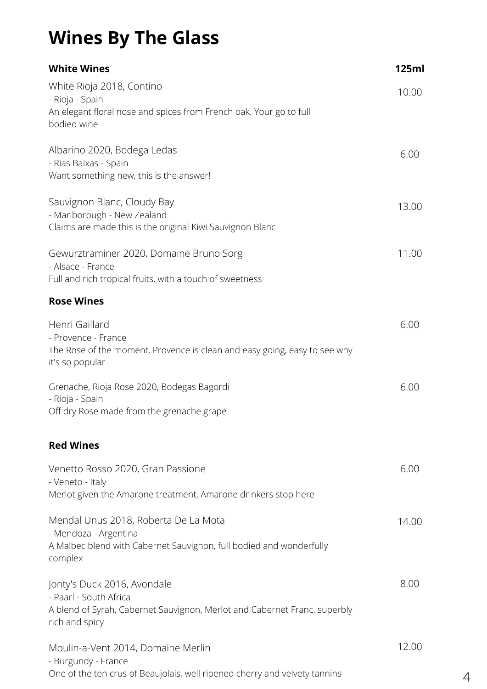# **Wines By The Glass**

| <b>White Wines</b>                                                                                                                                   | 125ml |
|------------------------------------------------------------------------------------------------------------------------------------------------------|-------|
| White Rioja 2018, Contino<br>- Rioja - Spain<br>An elegant floral nose and spices from French oak. Your go to full<br>bodied wine                    | 10.00 |
| Albarino 2020, Bodega Ledas<br>- Rias Baixas - Spain<br>Want something new, this is the answer!                                                      | 6.00  |
| Sauvignon Blanc, Cloudy Bay<br>- Marlborough - New Zealand<br>Claims are made this is the original Kiwi Sauvignon Blanc                              | 13.00 |
| Gewurztraminer 2020, Domaine Bruno Sorg<br>- Alsace - France<br>Full and rich tropical fruits, with a touch of sweetness                             | 11.00 |
| <b>Rose Wines</b>                                                                                                                                    |       |
| Henri Gaillard<br>- Provence - France<br>The Rose of the moment, Provence is clean and easy going, easy to see why<br>it's so popular                | 6.00  |
| Grenache, Rioja Rose 2020, Bodegas Bagordi<br>- Rioja - Spain<br>Off dry Rose made from the grenache grape                                           | 6.00  |
| <b>Red Wines</b>                                                                                                                                     |       |
| Venetto Rosso 2020, Gran Passione<br>- Veneto - Italy<br>Merlot given the Amarone treatment, Amarone drinkers stop here                              | 6.00  |
| Mendal Unus 2018, Roberta De La Mota<br>- Mendoza - Argentina<br>A Malbec blend with Cabernet Sauvignon, full bodied and wonderfully<br>complex      | 14.00 |
| Jonty's Duck 2016, Avondale<br>- Paarl - South Africa<br>A blend of Syrah, Cabernet Sauvignon, Merlot and Cabernet Franc, superbly<br>rich and spicy | 8.00  |
| Moulin-a-Vent 2014, Domaine Merlin<br>- Burgundy - France<br>One of the ten crus of Beaujolais, well ripened cherry and velvety tannins              | 12.00 |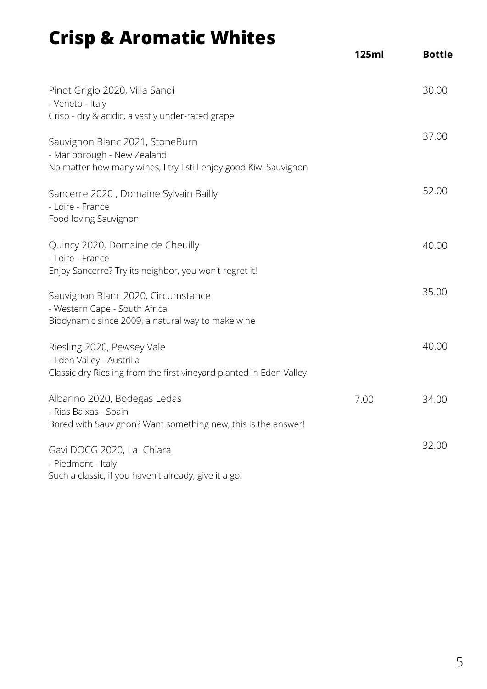# **Crisp & Aromatic Whites**

|                                                                                                                                     | 125ml | <b>Bottle</b> |
|-------------------------------------------------------------------------------------------------------------------------------------|-------|---------------|
| Pinot Grigio 2020, Villa Sandi<br>- Veneto - Italy<br>Crisp - dry & acidic, a vastly under-rated grape                              |       | 30.00         |
| Sauvignon Blanc 2021, StoneBurn<br>- Marlborough - New Zealand<br>No matter how many wines, I try I still enjoy good Kiwi Sauvignon |       | 37.00         |
| Sancerre 2020, Domaine Sylvain Bailly<br>- Loire - France<br>Food loving Sauvignon                                                  |       | 52.00         |
| Quincy 2020, Domaine de Cheuilly<br>- Loire - France<br>Enjoy Sancerre? Try its neighbor, you won't regret it!                      |       | 40.00         |
| Sauvignon Blanc 2020, Circumstance<br>- Western Cape - South Africa<br>Biodynamic since 2009, a natural way to make wine            |       | 35.00         |
| Riesling 2020, Pewsey Vale<br>- Eden Valley - Austrilia<br>Classic dry Riesling from the first vineyard planted in Eden Valley      |       | 40.00         |
| Albarino 2020, Bodegas Ledas<br>- Rias Baixas - Spain<br>Bored with Sauvignon? Want something new, this is the answer!              | 7.00  | 34.00         |
| Gavi DOCG 2020, La Chiara<br>- Piedmont - Italy<br>Such a classic, if you haven't already, give it a go!                            |       | 32.00         |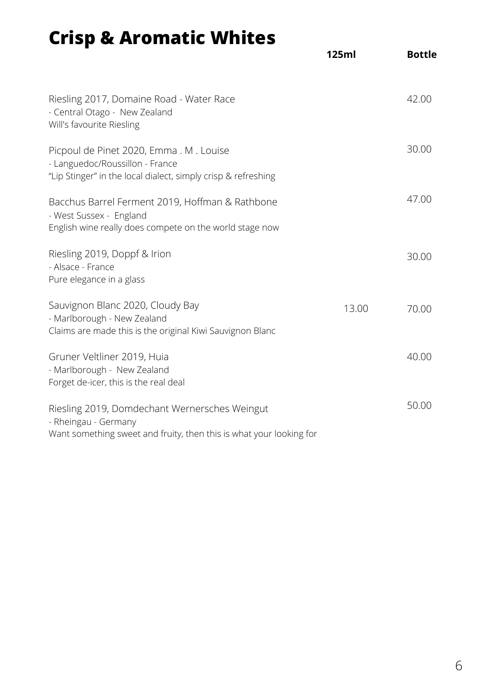# **Crisp & Aromatic Whites**

|                                                                                                                                              | 125ml | <b>Bottle</b> |
|----------------------------------------------------------------------------------------------------------------------------------------------|-------|---------------|
| Riesling 2017, Domaine Road - Water Race<br>- Central Otago - New Zealand<br>Will's favourite Riesling                                       |       | 42.00         |
| Picpoul de Pinet 2020, Emma . M . Louise<br>- Languedoc/Roussillon - France<br>"Lip Stinger" in the local dialect, simply crisp & refreshing |       | 30.00         |
| Bacchus Barrel Ferment 2019, Hoffman & Rathbone<br>- West Sussex - England<br>English wine really does compete on the world stage now        |       | 47.00         |
| Riesling 2019, Doppf & Irion<br>- Alsace - France<br>Pure elegance in a glass                                                                |       | 30.00         |
| Sauvignon Blanc 2020, Cloudy Bay<br>- Marlborough - New Zealand<br>Claims are made this is the original Kiwi Sauvignon Blanc                 | 13.00 | 70.00         |
| Gruner Veltliner 2019, Huia<br>- Marlborough - New Zealand<br>Forget de-icer, this is the real deal                                          |       | 40.00         |
| Riesling 2019, Domdechant Wernersches Weingut<br>- Rheingau - Germany<br>Want something sweet and fruity, then this is what your looking for |       | 50.00         |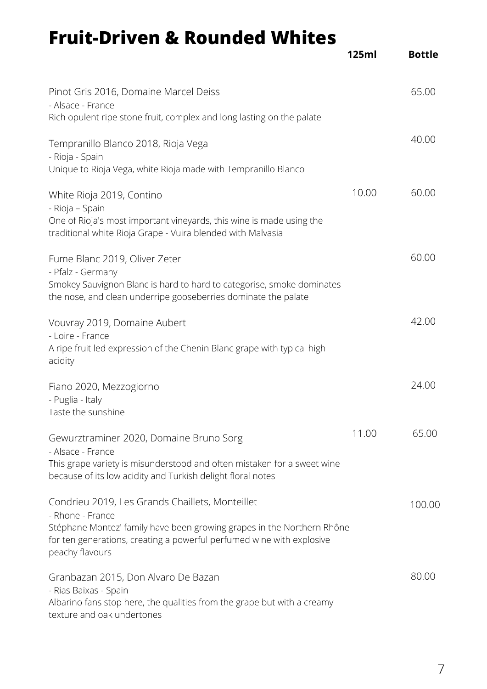### **Fruit-Driven & Rounded Whites**

|                                                                                                                                                                                                                                           | 125ml | <b>Bottle</b> |
|-------------------------------------------------------------------------------------------------------------------------------------------------------------------------------------------------------------------------------------------|-------|---------------|
| Pinot Gris 2016, Domaine Marcel Deiss<br>- Alsace - France<br>Rich opulent ripe stone fruit, complex and long lasting on the palate                                                                                                       |       | 65.00         |
| Tempranillo Blanco 2018, Rioja Vega<br>- Rioja - Spain<br>Unique to Rioja Vega, white Rioja made with Tempranillo Blanco                                                                                                                  |       | 40.00         |
| White Rioja 2019, Contino<br>- Rioja – Spain<br>One of Rioja's most important vineyards, this wine is made using the<br>traditional white Rioja Grape - Vuira blended with Malvasia                                                       | 10.00 | 60.00         |
| Fume Blanc 2019, Oliver Zeter<br>- Pfalz - Germany<br>Smokey Sauvignon Blanc is hard to hard to categorise, smoke dominates<br>the nose, and clean underripe gooseberries dominate the palate                                             |       | 60.00         |
| Vouvray 2019, Domaine Aubert<br>- Loire - France<br>A ripe fruit led expression of the Chenin Blanc grape with typical high<br>acidity                                                                                                    |       | 42.00         |
| Fiano 2020, Mezzogiorno<br>- Puglia - Italy<br>Taste the sunshine                                                                                                                                                                         |       | 24.00         |
| Gewurztraminer 2020, Domaine Bruno Sorg<br>- Alsace - France<br>This grape variety is misunderstood and often mistaken for a sweet wine<br>because of its low acidity and Turkish delight floral notes                                    | 11.00 | 65.00         |
| Condrieu 2019, Les Grands Chaillets, Monteillet<br>- Rhone - France<br>Stéphane Montez' family have been growing grapes in the Northern Rhône<br>for ten generations, creating a powerful perfumed wine with explosive<br>peachy flavours |       | 100.00        |
| Granbazan 2015, Don Alvaro De Bazan<br>- Rias Baixas - Spain<br>Albarino fans stop here, the qualities from the grape but with a creamy<br>texture and oak undertones                                                                     |       | 80.00         |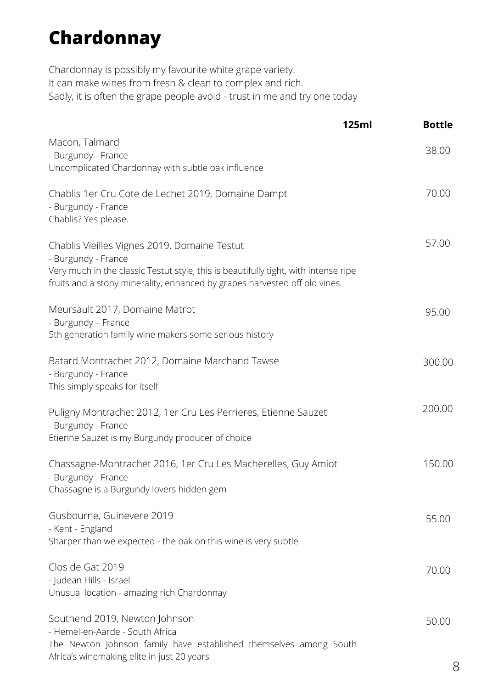### **Chardonnay**

Chardonnay is possibly my favourite white grape variety. It can make wines from fresh & clean to complex and rich. Sadly, it is often the grape people avoid - trust in me and try one today

|                                                                                                                                                                                                                                         | 125ml | <b>Bottle</b> |
|-----------------------------------------------------------------------------------------------------------------------------------------------------------------------------------------------------------------------------------------|-------|---------------|
| Macon, Talmard<br>- Burgundy - France<br>Uncomplicated Chardonnay with subtle oak influence                                                                                                                                             |       | 38.00         |
| Chablis 1er Cru Cote de Lechet 2019, Domaine Dampt<br>- Burgundy - France<br>Chablis? Yes please.                                                                                                                                       |       | 70.00         |
| Chablis Vieilles Vignes 2019, Domaine Testut<br>- Burgundy - France<br>Very much in the classic Testut style, this is beautifully tight, with intense ripe<br>fruits and a stony minerality, enhanced by grapes harvested off old vines |       | 57.00         |
| Meursault 2017, Domaine Matrot<br>- Burgundy - France<br>5th generation family wine makers some serious history                                                                                                                         |       | 95.00         |
| Batard Montrachet 2012, Domaine Marchand Tawse<br>- Burgundy - France<br>This simply speaks for itself                                                                                                                                  |       | 300.00        |
| Puligny Montrachet 2012, 1er Cru Les Perrieres, Etienne Sauzet<br>- Burgundy - France<br>Etienne Sauzet is my Burgundy producer of choice                                                                                               |       | 200.00        |
| Chassagne-Montrachet 2016, 1er Cru Les Macherelles, Guy Amiot<br>- Burgundy - France<br>Chassagne is a Burgundy lovers hidden gem                                                                                                       |       | 150.00        |
| Gusbourne, Guinevere 2019<br>- Kent - England<br>Sharper than we expected - the oak on this wine is very subtle                                                                                                                         |       | 55.00         |
| Clos de Gat 2019<br>- Judean Hills - Israel<br>Unusual location - amazing rich Chardonnay                                                                                                                                               |       | 70.00         |
| Southend 2019, Newton Johnson<br>- Hemel-en-Aarde - South Africa<br>The Newton Johnson family have established themselves among South<br>Africa's winemaking elite in just 20 years                                                     |       | 50.00         |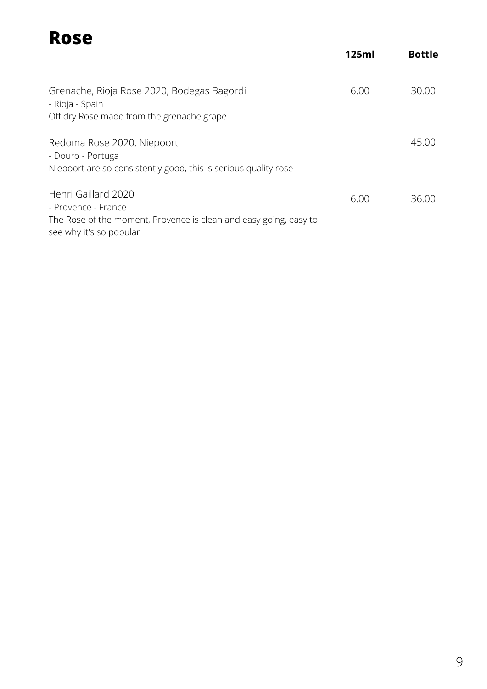#### **Rose** Grenache, Rioja Rose 2020, Bodegas Bagordi - Rioja - Spain Off dry Rose made from the grenache grape Redoma Rose 2020, Niepoort - Douro - Portugal Niepoort are so consistently good, this is serious quality rose Henri Gaillard 2020 - Provence - France The Rose of the moment, Provence is clean and easy going, easy to **125ml Bottle** 30.00 45.00 6.00 36.00 6.00

see why it's so popular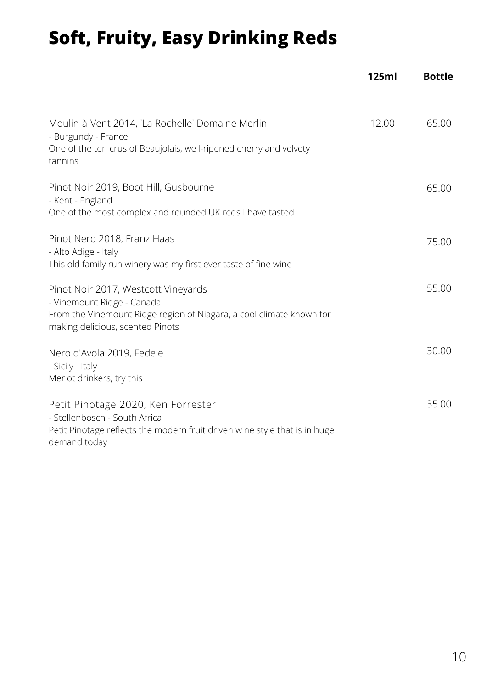# **Soft, Fruity, Easy Drinking Reds**

|                                                                                                                                                                               | <b>125ml</b> | <b>Bottle</b> |
|-------------------------------------------------------------------------------------------------------------------------------------------------------------------------------|--------------|---------------|
| Moulin-à-Vent 2014, 'La Rochelle' Domaine Merlin<br>- Burgundy - France<br>One of the ten crus of Beaujolais, well-ripened cherry and velvety<br>tannins                      | 12.00        | 65.00         |
| Pinot Noir 2019, Boot Hill, Gusbourne<br>- Kent - England<br>One of the most complex and rounded UK reds I have tasted                                                        |              | 65.00         |
| Pinot Nero 2018, Franz Haas<br>- Alto Adige - Italy<br>This old family run winery was my first ever taste of fine wine                                                        |              | 75.00         |
| Pinot Noir 2017, Westcott Vineyards<br>- Vinemount Ridge - Canada<br>From the Vinemount Ridge region of Niagara, a cool climate known for<br>making delicious, scented Pinots |              | 55.00         |
| Nero d'Avola 2019, Fedele<br>- Sicily - Italy<br>Merlot drinkers, try this                                                                                                    |              | 30.00         |
| Petit Pinotage 2020, Ken Forrester<br>- Stellenbosch - South Africa<br>Petit Pinotage reflects the modern fruit driven wine style that is in huge<br>demand today             |              | 35.00         |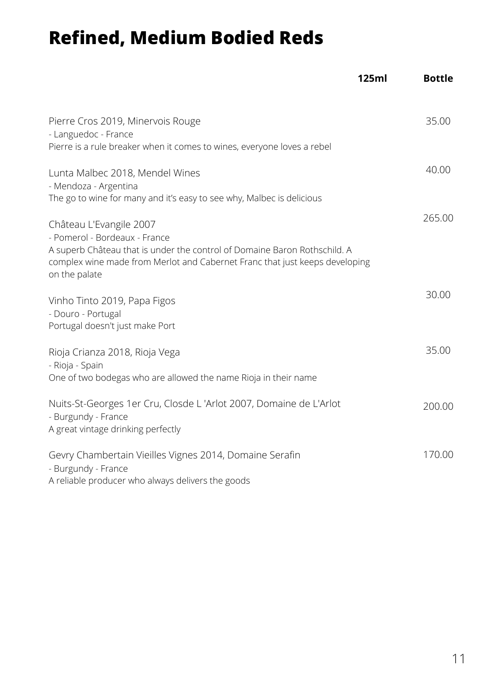### **Refined, Medium Bodied Reds**

|                                                                                                                                                                                                                                       | 125ml | <b>Bottle</b> |
|---------------------------------------------------------------------------------------------------------------------------------------------------------------------------------------------------------------------------------------|-------|---------------|
| Pierre Cros 2019, Minervois Rouge<br>- Languedoc - France<br>Pierre is a rule breaker when it comes to wines, everyone loves a rebel                                                                                                  |       | 35.00         |
| Lunta Malbec 2018, Mendel Wines<br>- Mendoza - Argentina<br>The go to wine for many and it's easy to see why, Malbec is delicious                                                                                                     |       | 40.00         |
| Château L'Evangile 2007<br>- Pomerol - Bordeaux - France<br>A superb Château that is under the control of Domaine Baron Rothschild. A<br>complex wine made from Merlot and Cabernet Franc that just keeps developing<br>on the palate |       | 265.00        |
| Vinho Tinto 2019, Papa Figos<br>- Douro - Portugal<br>Portugal doesn't just make Port                                                                                                                                                 |       | 30.00         |
| Rioja Crianza 2018, Rioja Vega<br>- Rioja - Spain<br>One of two bodegas who are allowed the name Rioja in their name                                                                                                                  |       | 35.00         |
| Nuits-St-Georges 1er Cru, Closde L'Arlot 2007, Domaine de L'Arlot<br>- Burgundy - France<br>A great vintage drinking perfectly                                                                                                        |       | 200.00        |
| Gevry Chambertain Vieilles Vignes 2014, Domaine Serafin<br>- Burgundy - France<br>A reliable producer who always delivers the goods                                                                                                   |       | 170.00        |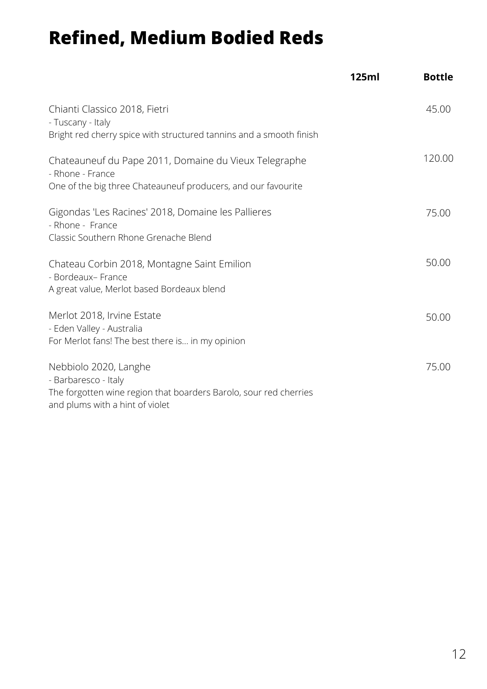### **Refined, Medium Bodied Reds**

|                                                                                                                                                       | 125ml | <b>Bottle</b> |
|-------------------------------------------------------------------------------------------------------------------------------------------------------|-------|---------------|
| Chianti Classico 2018, Fietri<br>- Tuscany - Italy<br>Bright red cherry spice with structured tannins and a smooth finish                             |       | 45.00         |
|                                                                                                                                                       |       |               |
| Chateauneuf du Pape 2011, Domaine du Vieux Telegraphe<br>- Rhone - France                                                                             |       | 120.00        |
| One of the big three Chateauneuf producers, and our favourite                                                                                         |       |               |
| Gigondas 'Les Racines' 2018, Domaine les Pallieres<br>- Rhone - France<br>Classic Southern Rhone Grenache Blend                                       |       | 75.00         |
| Chateau Corbin 2018, Montagne Saint Emilion<br>- Bordeaux- France<br>A great value, Merlot based Bordeaux blend                                       |       | 50.00         |
| Merlot 2018, Irvine Estate<br>- Eden Valley - Australia<br>For Merlot fans! The best there is in my opinion                                           |       | 50.00         |
| Nebbiolo 2020, Langhe<br>- Barbaresco - Italy<br>The forgotten wine region that boarders Barolo, sour red cherries<br>and plums with a hint of violet |       | 75.00         |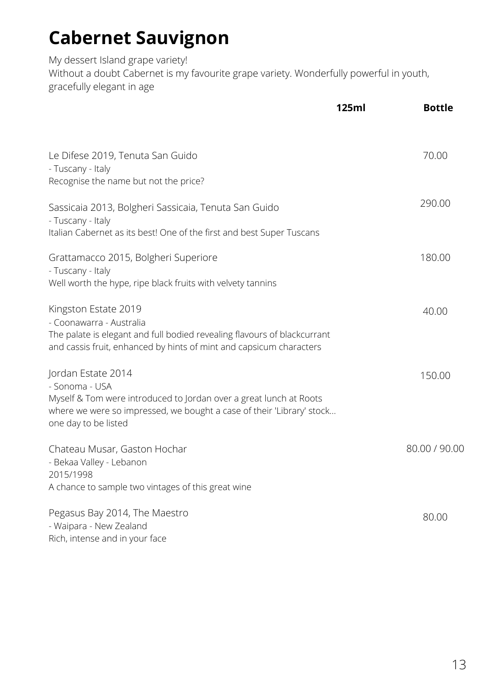# **Cabernet Sauvignon**

My dessert Island grape variety! Without a doubt Cabernet is my favourite grape variety. Wonderfully powerful in youth, gracefully elegant in age

|                                                                                                                                                                                                             | 125ml | <b>Bottle</b> |
|-------------------------------------------------------------------------------------------------------------------------------------------------------------------------------------------------------------|-------|---------------|
| Le Difese 2019, Tenuta San Guido<br>- Tuscany - Italy<br>Recognise the name but not the price?                                                                                                              |       | 70.00         |
| Sassicaia 2013, Bolgheri Sassicaia, Tenuta San Guido<br>- Tuscany - Italy<br>Italian Cabernet as its best! One of the first and best Super Tuscans                                                          |       | 290.00        |
| Grattamacco 2015, Bolgheri Superiore<br>- Tuscany - Italy<br>Well worth the hype, ripe black fruits with velvety tannins                                                                                    |       | 180.00        |
| Kingston Estate 2019<br>- Coonawarra - Australia<br>The palate is elegant and full bodied revealing flavours of blackcurrant<br>and cassis fruit, enhanced by hints of mint and capsicum characters         |       | 40.00         |
| Jordan Estate 2014<br>- Sonoma - USA<br>Myself & Tom were introduced to Jordan over a great lunch at Roots<br>where we were so impressed, we bought a case of their 'Library' stock<br>one day to be listed |       | 150.00        |
| Chateau Musar, Gaston Hochar<br>- Bekaa Valley - Lebanon<br>2015/1998<br>A chance to sample two vintages of this great wine                                                                                 |       | 80.00 / 90.00 |
| Pegasus Bay 2014, The Maestro<br>- Waipara - New Zealand<br>Rich, intense and in your face                                                                                                                  |       | 80.00         |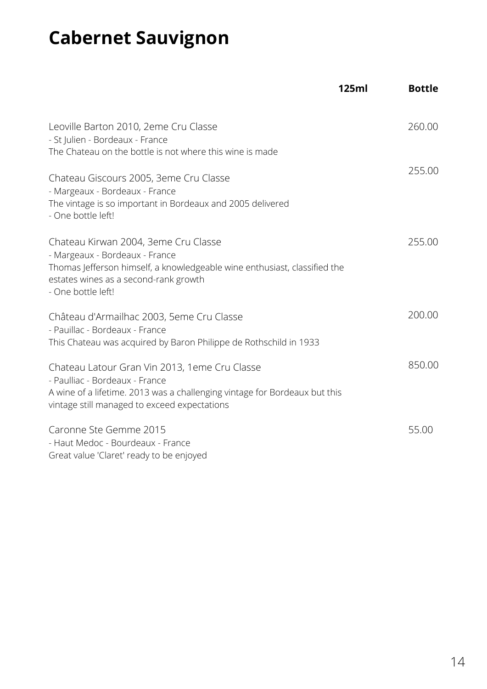# **Cabernet Sauvignon**

|                                                                                                                                                                                                                    | 125ml | <b>Bottle</b> |
|--------------------------------------------------------------------------------------------------------------------------------------------------------------------------------------------------------------------|-------|---------------|
| Leoville Barton 2010, 2eme Cru Classe<br>- St Julien - Bordeaux - France<br>The Chateau on the bottle is not where this wine is made                                                                               |       | 260.00        |
| Chateau Giscours 2005, 3eme Cru Classe<br>- Margeaux - Bordeaux - France<br>The vintage is so important in Bordeaux and 2005 delivered<br>- One bottle left!                                                       |       | 255.00        |
| Chateau Kirwan 2004, 3eme Cru Classe<br>- Margeaux - Bordeaux - France<br>Thomas Jefferson himself, a knowledgeable wine enthusiast, classified the<br>estates wines as a second-rank growth<br>- One bottle left! |       | 255.00        |
| Château d'Armailhac 2003, 5eme Cru Classe<br>- Pauillac - Bordeaux - France<br>This Chateau was acquired by Baron Philippe de Rothschild in 1933                                                                   |       | 200.00        |
| Chateau Latour Gran Vin 2013, 1eme Cru Classe<br>- Paulliac - Bordeaux - France<br>A wine of a lifetime. 2013 was a challenging vintage for Bordeaux but this<br>vintage still managed to exceed expectations      |       | 850.00        |
| Caronne Ste Gemme 2015<br>- Haut Medoc - Bourdeaux - France<br>Great value 'Claret' ready to be enjoyed                                                                                                            |       | 55.00         |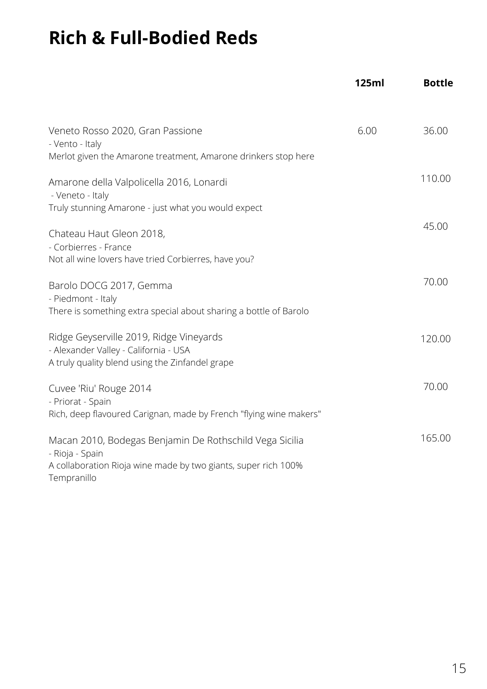## **Rich & Full-Bodied Reds**

|                                                                                                                                                             | <b>125ml</b> | <b>Bottle</b> |
|-------------------------------------------------------------------------------------------------------------------------------------------------------------|--------------|---------------|
| Veneto Rosso 2020, Gran Passione<br>- Vento - Italy<br>Merlot given the Amarone treatment, Amarone drinkers stop here                                       | 6.00         | 36.00         |
| Amarone della Valpolicella 2016, Lonardi<br>- Veneto - Italy<br>Truly stunning Amarone - just what you would expect                                         |              | 110.00        |
| Chateau Haut Gleon 2018,<br>- Corbierres - France<br>Not all wine lovers have tried Corbierres, have you?                                                   |              | 45.00         |
| Barolo DOCG 2017, Gemma<br>- Piedmont - Italy<br>There is something extra special about sharing a bottle of Barolo                                          |              | 70.00         |
| Ridge Geyserville 2019, Ridge Vineyards<br>- Alexander Valley - California - USA<br>A truly quality blend using the Zinfandel grape                         |              | 120.00        |
| Cuvee 'Riu' Rouge 2014<br>- Priorat - Spain<br>Rich, deep flavoured Carignan, made by French "flying wine makers"                                           |              | 70.00         |
| Macan 2010, Bodegas Benjamin De Rothschild Vega Sicilia<br>- Rioja - Spain<br>A collaboration Rioja wine made by two giants, super rich 100%<br>Tempranillo |              | 165.00        |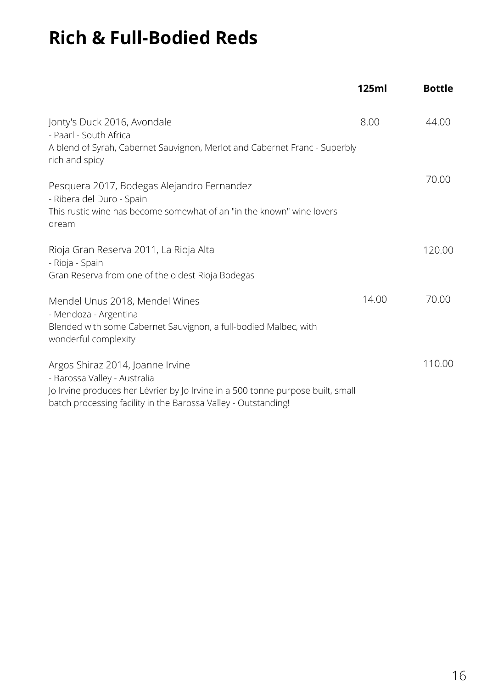# **Rich & Full-Bodied Reds**

|                                                                                                                                                                                                                       | 125ml | <b>Bottle</b> |
|-----------------------------------------------------------------------------------------------------------------------------------------------------------------------------------------------------------------------|-------|---------------|
| Jonty's Duck 2016, Avondale<br>- Paarl - South Africa<br>A blend of Syrah, Cabernet Sauvignon, Merlot and Cabernet Franc - Superbly<br>rich and spicy                                                                 | 8.00  | 44.00         |
| Pesquera 2017, Bodegas Alejandro Fernandez<br>- Ribera del Duro - Spain<br>This rustic wine has become somewhat of an "in the known" wine lovers<br>dream                                                             |       | 70.00         |
| Rioja Gran Reserva 2011, La Rioja Alta<br>- Rioja - Spain<br>Gran Reserva from one of the oldest Rioja Bodegas                                                                                                        |       | 120.00        |
| Mendel Unus 2018, Mendel Wines<br>- Mendoza - Argentina<br>Blended with some Cabernet Sauvignon, a full-bodied Malbec, with<br>wonderful complexity                                                                   | 14.00 | 70.00         |
| Argos Shiraz 2014, Joanne Irvine<br>- Barossa Valley - Australia<br>Jo Irvine produces her Lévrier by Jo Irvine in a 500 tonne purpose built, small<br>batch processing facility in the Barossa Valley - Outstanding! |       | 110.00        |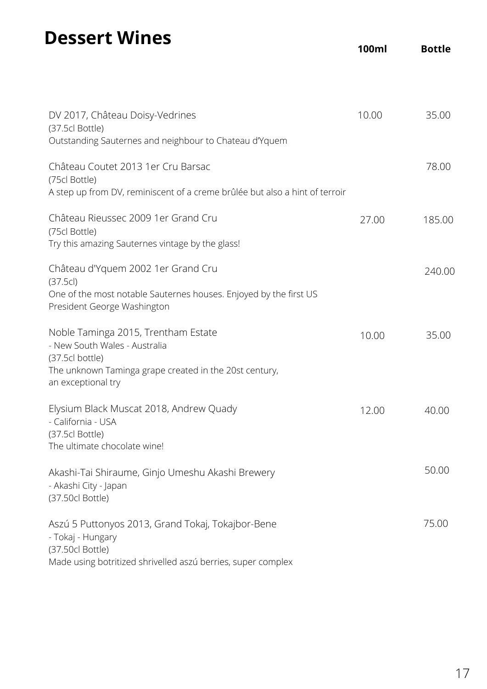### **Dessert Wines**

| DV 2017, Château Doisy-Vedrines<br>(37.5cl Bottle)<br>Outstanding Sauternes and neighbour to Chateau d'Yquem                                               | 10.00 | 35.00  |
|------------------------------------------------------------------------------------------------------------------------------------------------------------|-------|--------|
| Château Coutet 2013 1 er Cru Barsac<br>(75cl Bottle)<br>A step up from DV, reminiscent of a creme brûlée but also a hint of terroir                        |       | 78.00  |
| Château Rieussec 2009 1 er Grand Cru<br>(75cl Bottle)<br>Try this amazing Sauternes vintage by the glass!                                                  | 27.00 | 185.00 |
| Château d'Yquem 2002 1 er Grand Cru<br>(37.5c)<br>One of the most notable Sauternes houses. Enjoyed by the first US                                        |       | 240.00 |
| President George Washington                                                                                                                                |       |        |
| Noble Taminga 2015, Trentham Estate<br>- New South Wales - Australia<br>(37.5cl bottle)<br>The unknown Taminga grape created in the 20st century,          | 10.00 | 35.00  |
| an exceptional try                                                                                                                                         |       |        |
| Elysium Black Muscat 2018, Andrew Quady<br>- California - USA<br>(37.5cl Bottle)<br>The ultimate chocolate wine!                                           | 12.00 | 40.00  |
| Akashi-Tai Shiraume, Ginjo Umeshu Akashi Brewery<br>- Akashi City - Japan<br>(37.50cl Bottle)                                                              |       | 50.00  |
| Aszú 5 Puttonyos 2013, Grand Tokaj, Tokajbor-Bene<br>- Tokaj - Hungary<br>(37.50cl Bottle)<br>Made using botritized shrivelled aszú berries, super complex |       | 75.00  |
|                                                                                                                                                            |       |        |

**100ml Bottle**